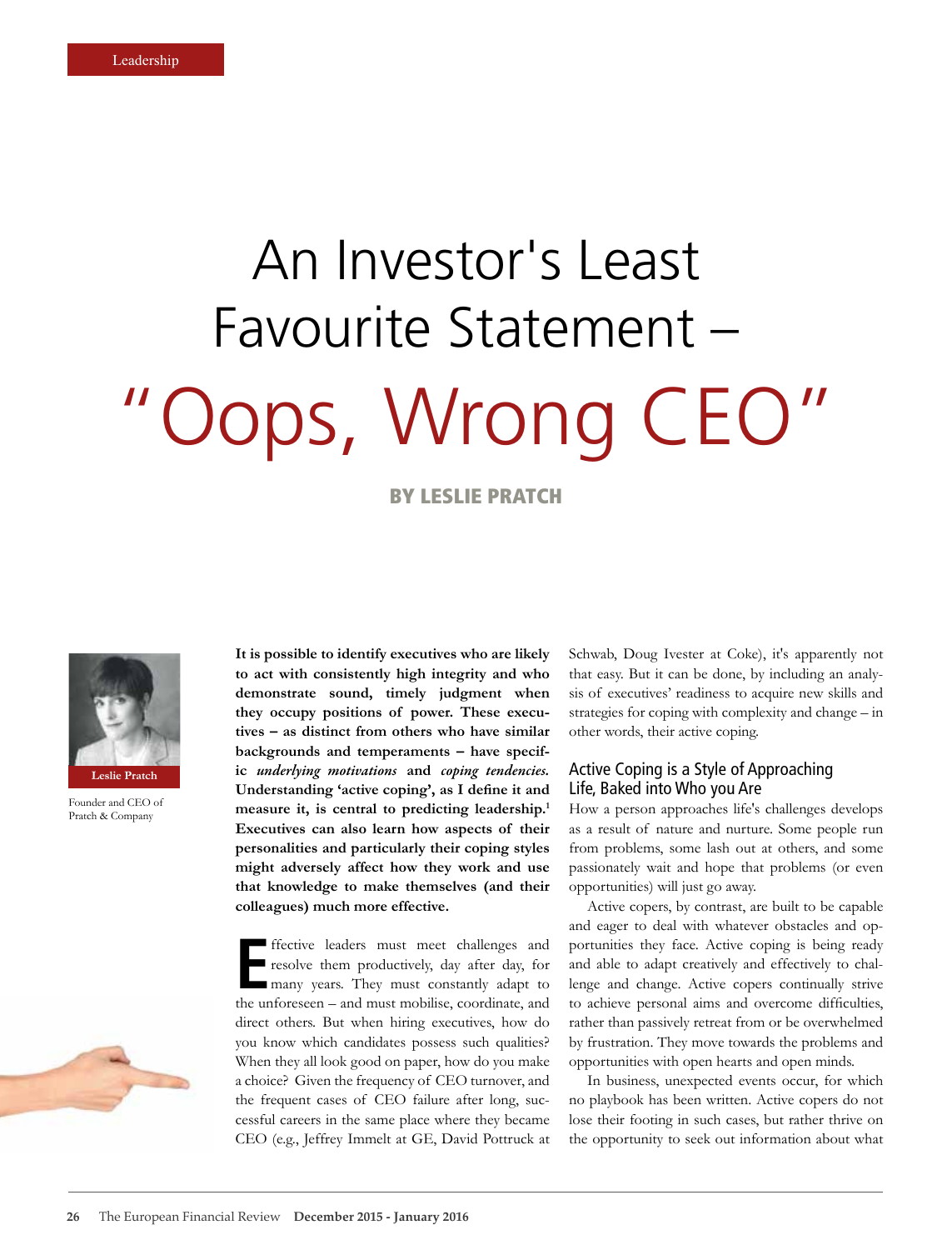# An Investor's Least Favourite Statement – "Oops, Wrong CEO"

BY LESLIE PRATCH



Founder and CEO of Pratch & Company



**EXECUTE:** ffective leaders must meet challenges and resolve them productively, day after day, for many years. They must constantly adapt to the unforeseen – and must mobilise, coordinate, and ffective leaders must meet challenges and resolve them productively, day after day, for many years. They must constantly adapt to direct others. But when hiring executives, how do you know which candidates possess such qualities? When they all look good on paper, how do you make a choice? Given the frequency of CEO turnover, and the frequent cases of CEO failure after long, successful careers in the same place where they became CEO (e.g., Jeffrey Immelt at GE, David Pottruck at

Schwab, Doug Ivester at Coke), it's apparently not that easy. But it can be done, by including an analysis of executives' readiness to acquire new skills and strategies for coping with complexity and change – in other words, their active coping.

# Active Coping is a Style of Approaching Life, Baked into Who you Are

How a person approaches life's challenges develops as a result of nature and nurture. Some people run from problems, some lash out at others, and some passionately wait and hope that problems (or even opportunities) will just go away.

Active copers, by contrast, are built to be capable and eager to deal with whatever obstacles and opportunities they face. Active coping is being ready and able to adapt creatively and effectively to challenge and change. Active copers continually strive to achieve personal aims and overcome difficulties, rather than passively retreat from or be overwhelmed by frustration. They move towards the problems and opportunities with open hearts and open minds.

In business, unexpected events occur, for which no playbook has been written. Active copers do not lose their footing in such cases, but rather thrive on the opportunity to seek out information about what

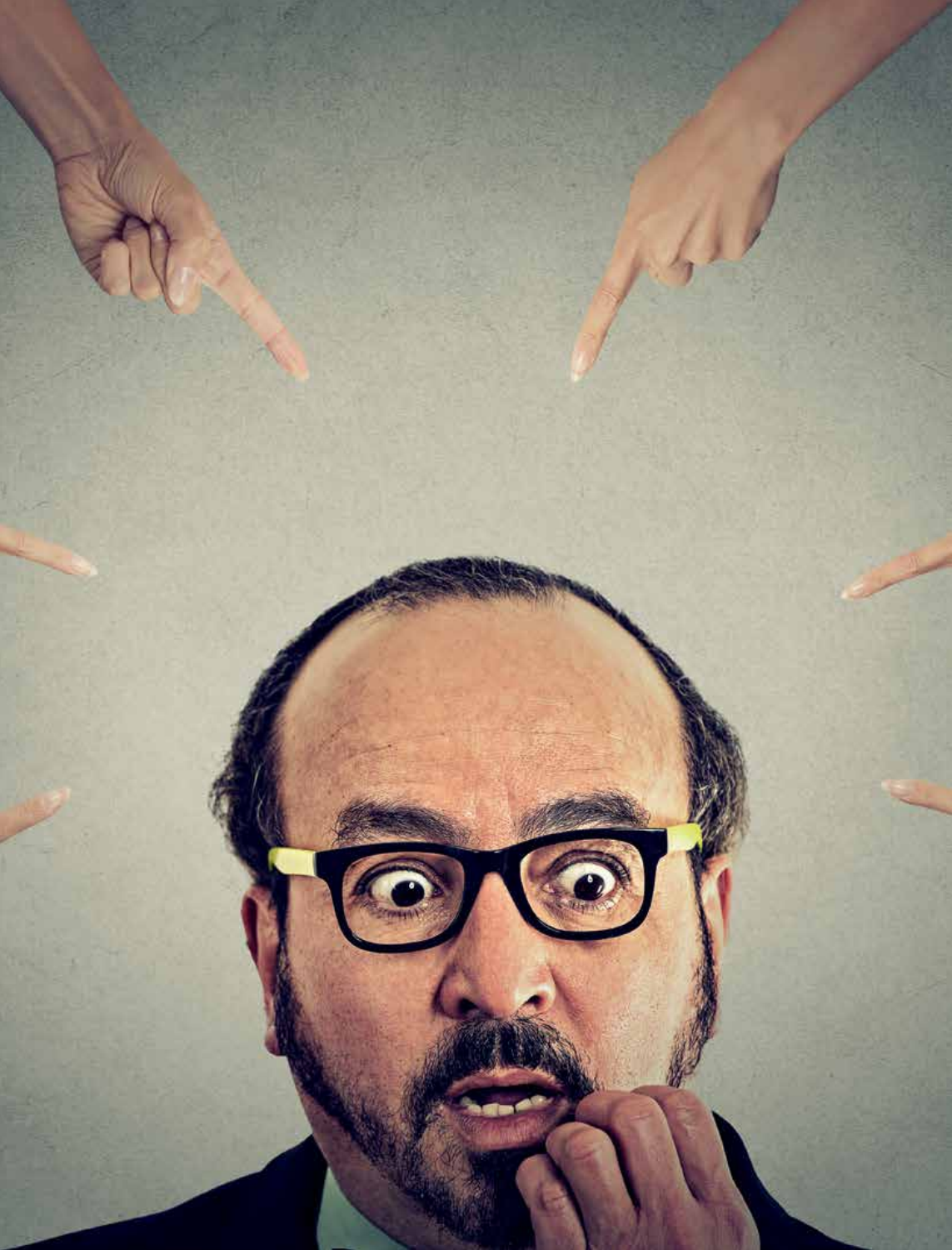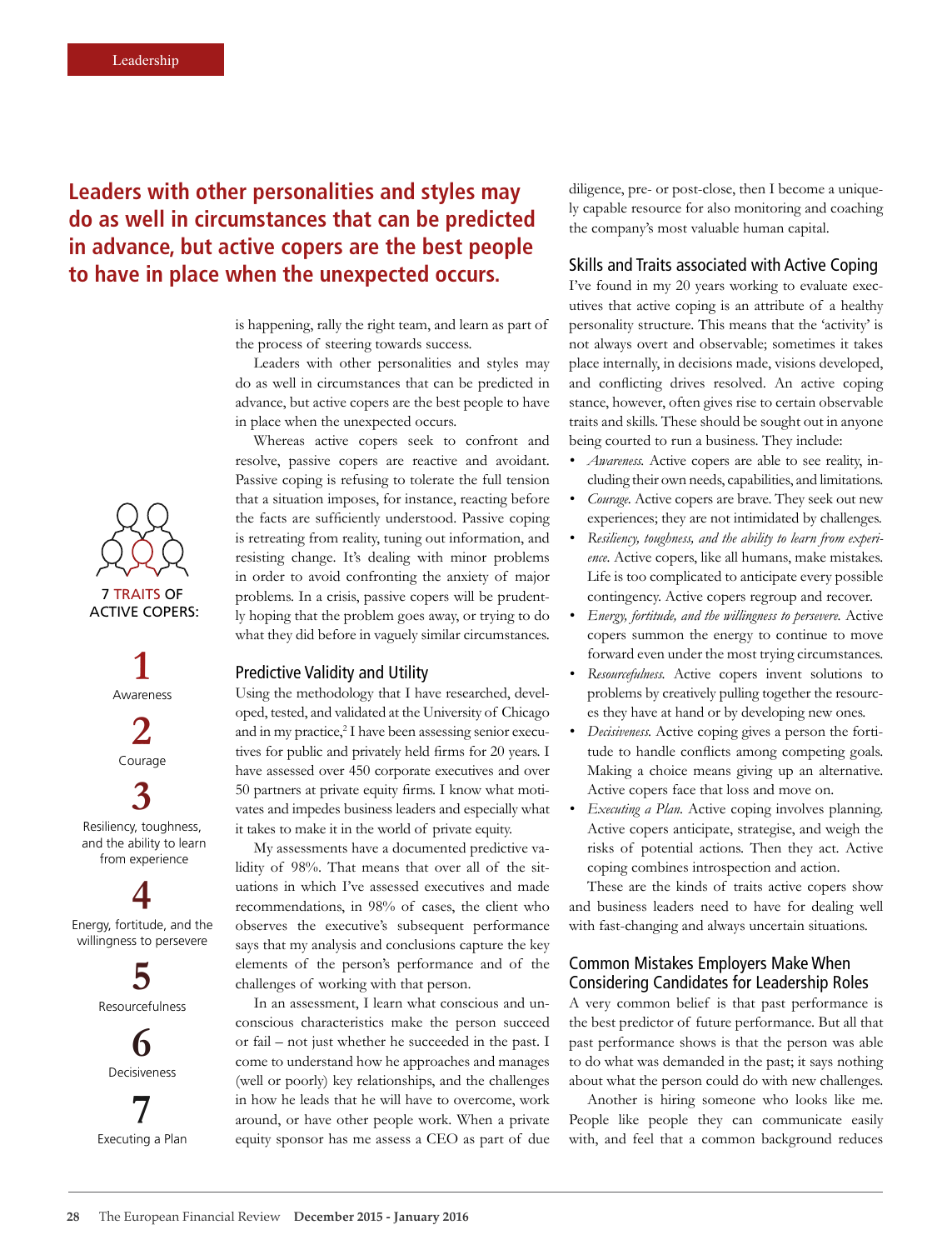# **Leaders with other personalities and styles may do as well in circumstances that can be predicted in advance, but active copers are the best people to have in place when the unexpected occurs.**

is happening, rally the right team, and learn as part of the process of steering towards success.

Leaders with other personalities and styles may do as well in circumstances that can be predicted in advance, but active copers are the best people to have in place when the unexpected occurs.

Whereas active copers seek to confront and resolve, passive copers are reactive and avoidant. Passive coping is refusing to tolerate the full tension that a situation imposes, for instance, reacting before the facts are sufficiently understood. Passive coping is retreating from reality, tuning out information, and resisting change. It's dealing with minor problems in order to avoid confronting the anxiety of major problems. In a crisis, passive copers will be prudently hoping that the problem goes away, or trying to do what they did before in vaguely similar circumstances.

# Predictive Validity and Utility

Using the methodology that I have researched, developed, tested, and validated at the University of Chicago and in my practice,<sup>2</sup> I have been assessing senior executives for public and privately held firms for 20 years. I have assessed over 450 corporate executives and over 50 partners at private equity firms. I know what motivates and impedes business leaders and especially what it takes to make it in the world of private equity.

My assessments have a documented predictive validity of 98%. That means that over all of the situations in which I've assessed executives and made recommendations, in 98% of cases, the client who observes the executive's subsequent performance says that my analysis and conclusions capture the key elements of the person's performance and of the challenges of working with that person.

In an assessment, I learn what conscious and unconscious characteristics make the person succeed or fail – not just whether he succeeded in the past. I come to understand how he approaches and manages (well or poorly) key relationships, and the challenges in how he leads that he will have to overcome, work around, or have other people work. When a private equity sponsor has me assess a CEO as part of due diligence, pre- or post-close, then I become a uniquely capable resource for also monitoring and coaching the company's most valuable human capital.

## Skills and Traits associated with Active Coping

I've found in my 20 years working to evaluate executives that active coping is an attribute of a healthy personality structure. This means that the 'activity' is not always overt and observable; sometimes it takes place internally, in decisions made, visions developed, and conflicting drives resolved. An active coping stance, however, often gives rise to certain observable traits and skills. These should be sought out in anyone being courted to run a business. They include:

- *• Awareness.* Active copers are able to see reality, including their own needs, capabilities, and limitations.
- *• Courage.* Active copers are brave. They seek out new experiences; they are not intimidated by challenges.
- *• Resiliency, toughness, and the ability to learn from experience.* Active copers, like all humans, make mistakes. Life is too complicated to anticipate every possible contingency. Active copers regroup and recover.
- *• Energy, fortitude, and the willingness to persevere.* Active copers summon the energy to continue to move forward even under the most trying circumstances.
- *• Resourcefulness.* Active copers invent solutions to problems by creatively pulling together the resources they have at hand or by developing new ones.
- *• Decisiveness.* Active coping gives a person the fortitude to handle conflicts among competing goals. Making a choice means giving up an alternative. Active copers face that loss and move on.
- *• Executing a Plan.* Active coping involves planning. Active copers anticipate, strategise, and weigh the risks of potential actions. Then they act. Active coping combines introspection and action.

These are the kinds of traits active copers show and business leaders need to have for dealing well with fast-changing and always uncertain situations.

### Common Mistakes Employers Make When Considering Candidates for Leadership Roles

A very common belief is that past performance is the best predictor of future performance. But all that past performance shows is that the person was able to do what was demanded in the past; it says nothing about what the person could do with new challenges.

Another is hiring someone who looks like me. People like people they can communicate easily with, and feel that a common background reduces



**1** Awareness

> **2** Courage

**3** Resiliency, toughness, and the ability to learn from experience

**4** Energy, fortitude, and the willingness to persevere

> **5** Resourcefulness

**6** Decisiveness **7**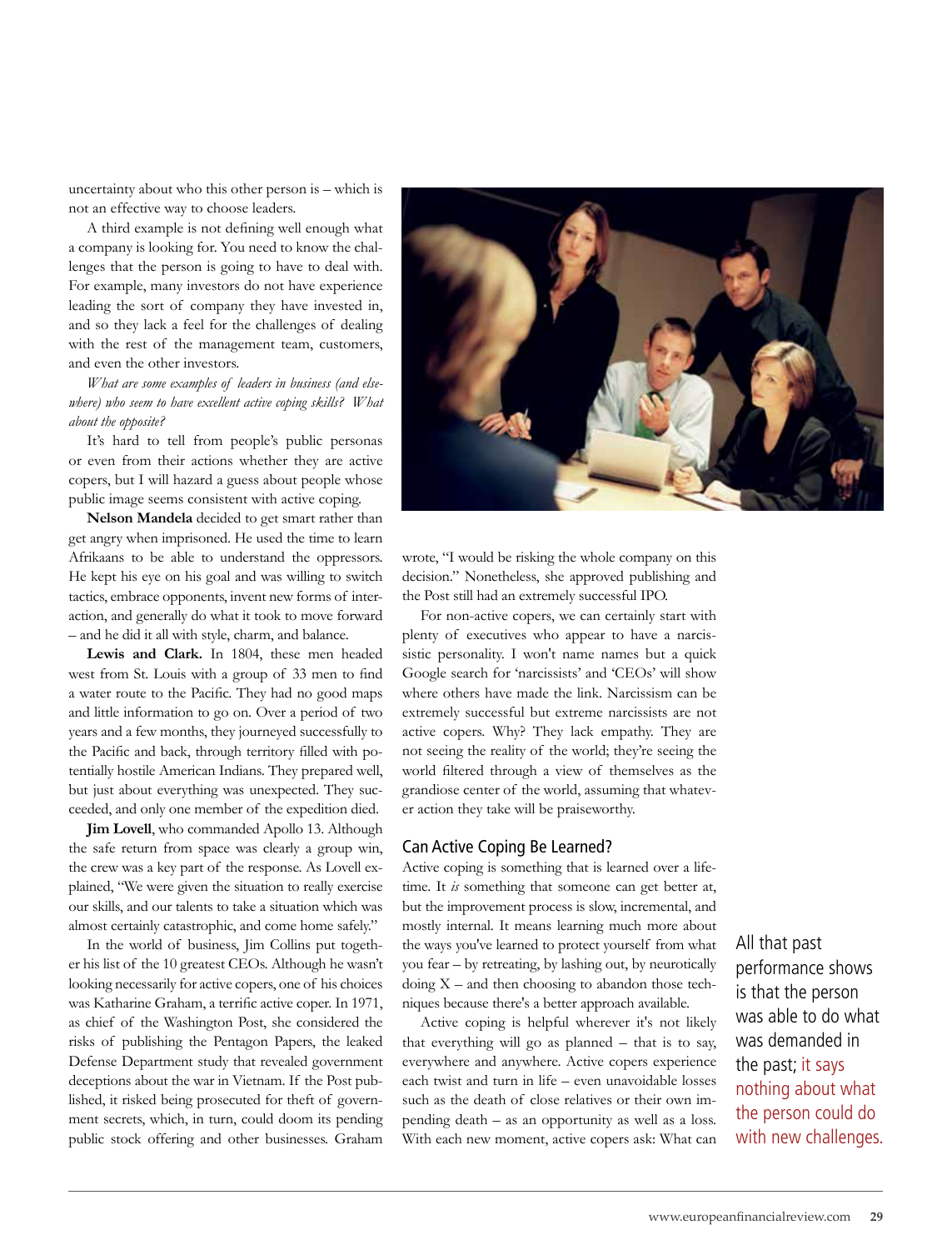uncertainty about who this other person is – which is not an effective way to choose leaders.

A third example is not defining well enough what a company is looking for. You need to know the challenges that the person is going to have to deal with. For example, many investors do not have experience leading the sort of company they have invested in, and so they lack a feel for the challenges of dealing with the rest of the management team, customers, and even the other investors.

*What are some examples of leaders in business (and elsewhere) who seem to have excellent active coping skills? What about the opposite?*

It's hard to tell from people's public personas or even from their actions whether they are active copers, but I will hazard a guess about people whose public image seems consistent with active coping.

**Nelson Mandela** decided to get smart rather than get angry when imprisoned. He used the time to learn Afrikaans to be able to understand the oppressors. He kept his eye on his goal and was willing to switch tactics, embrace opponents, invent new forms of interaction, and generally do what it took to move forward – and he did it all with style, charm, and balance.

**Lewis and Clark.** In 1804, these men headed west from St. Louis with a group of 33 men to find a water route to the Pacific. They had no good maps and little information to go on. Over a period of two years and a few months, they journeyed successfully to the Pacific and back, through territory filled with potentially hostile American Indians. They prepared well, but just about everything was unexpected. They succeeded, and only one member of the expedition died.

**Jim Lovell**, who commanded Apollo 13. Although the safe return from space was clearly a group win, the crew was a key part of the response. As Lovell explained, "We were given the situation to really exercise our skills, and our talents to take a situation which was almost certainly catastrophic, and come home safely."

In the world of business, Jim Collins put together his list of the 10 greatest CEOs. Although he wasn't looking necessarily for active copers, one of his choices was Katharine Graham, a terrific active coper. In 1971, as chief of the Washington Post, she considered the risks of publishing the Pentagon Papers, the leaked Defense Department study that revealed government deceptions about the war in Vietnam. If the Post published, it risked being prosecuted for theft of government secrets, which, in turn, could doom its pending public stock offering and other businesses. Graham



wrote, "I would be risking the whole company on this decision." Nonetheless, she approved publishing and the Post still had an extremely successful IPO.

For non-active copers, we can certainly start with plenty of executives who appear to have a narcissistic personality. I won't name names but a quick Google search for 'narcissists' and 'CEOs' will show where others have made the link. Narcissism can be extremely successful but extreme narcissists are not active copers. Why? They lack empathy. They are not seeing the reality of the world; they're seeing the world filtered through a view of themselves as the grandiose center of the world, assuming that whatever action they take will be praiseworthy.

### Can Active Coping Be Learned?

Active coping is something that is learned over a lifetime. It *is* something that someone can get better at, but the improvement process is slow, incremental, and mostly internal. It means learning much more about the ways you've learned to protect yourself from what you fear – by retreating, by lashing out, by neurotically doing  $X$  – and then choosing to abandon those techniques because there's a better approach available.

Active coping is helpful wherever it's not likely that everything will go as planned – that is to say, everywhere and anywhere. Active copers experience each twist and turn in life – even unavoidable losses such as the death of close relatives or their own impending death – as an opportunity as well as a loss. With each new moment, active copers ask: What can

All that past performance shows is that the person was able to do what was demanded in the past; it says nothing about what the person could do with new challenges.